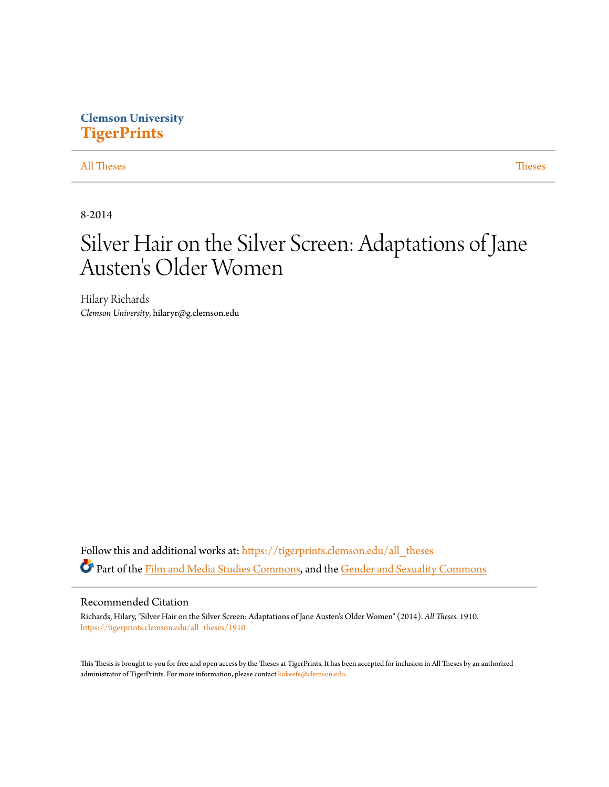# **Clemson University [TigerPrints](https://tigerprints.clemson.edu?utm_source=tigerprints.clemson.edu%2Fall_theses%2F1910&utm_medium=PDF&utm_campaign=PDFCoverPages)**

# [All Theses](https://tigerprints.clemson.edu/all_theses?utm_source=tigerprints.clemson.edu%2Fall_theses%2F1910&utm_medium=PDF&utm_campaign=PDFCoverPages) **[Theses](https://tigerprints.clemson.edu/theses?utm_source=tigerprints.clemson.edu%2Fall_theses%2F1910&utm_medium=PDF&utm_campaign=PDFCoverPages)**

8-2014

# Silver Hair on the Silver Screen: Adaptations of Jane Austen 's Older Women

Hilary Richards *Clemson University*, hilaryr@g.clemson.edu

Follow this and additional works at: [https://tigerprints.clemson.edu/all\\_theses](https://tigerprints.clemson.edu/all_theses?utm_source=tigerprints.clemson.edu%2Fall_theses%2F1910&utm_medium=PDF&utm_campaign=PDFCoverPages) Part of the [Film and Media Studies Commons](http://network.bepress.com/hgg/discipline/563?utm_source=tigerprints.clemson.edu%2Fall_theses%2F1910&utm_medium=PDF&utm_campaign=PDFCoverPages), and the [Gender and Sexuality Commons](http://network.bepress.com/hgg/discipline/420?utm_source=tigerprints.clemson.edu%2Fall_theses%2F1910&utm_medium=PDF&utm_campaign=PDFCoverPages)

#### Recommended Citation

Richards, Hilary, "Silver Hair on the Silver Screen: Adaptations of Jane Austen's Older Women" (2014). *All Theses*. 1910. [https://tigerprints.clemson.edu/all\\_theses/1910](https://tigerprints.clemson.edu/all_theses/1910?utm_source=tigerprints.clemson.edu%2Fall_theses%2F1910&utm_medium=PDF&utm_campaign=PDFCoverPages)

This Thesis is brought to you for free and open access by the Theses at TigerPrints. It has been accepted for inclusion in All Theses by an authorized administrator of TigerPrints. For more information, please contact [kokeefe@clemson.edu](mailto:kokeefe@clemson.edu).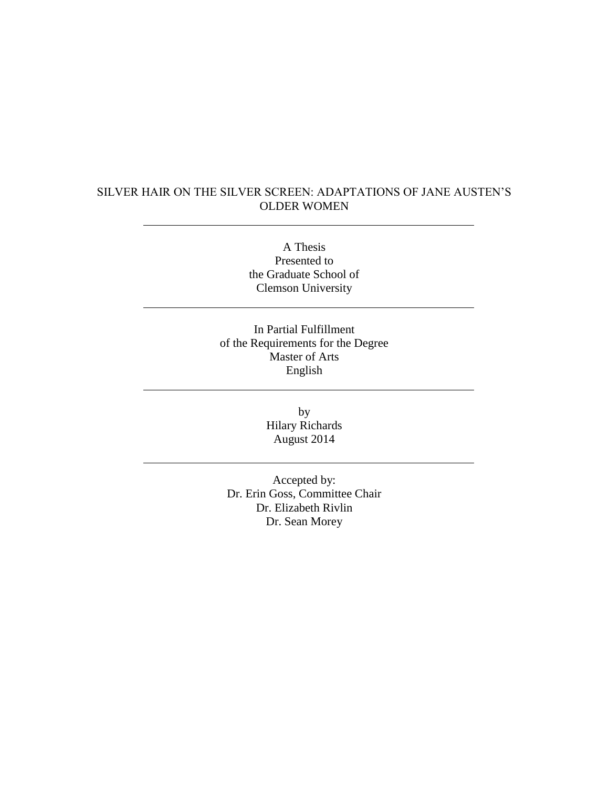# SILVER HAIR ON THE SILVER SCREEN: ADAPTATIONS OF JANE AUSTEN'S OLDER WOMEN

A Thesis Presented to the Graduate School of Clemson University

In Partial Fulfillment of the Requirements for the Degree Master of Arts English

> by Hilary Richards August 2014

Accepted by: Dr. Erin Goss, Committee Chair Dr. Elizabeth Rivlin Dr. Sean Morey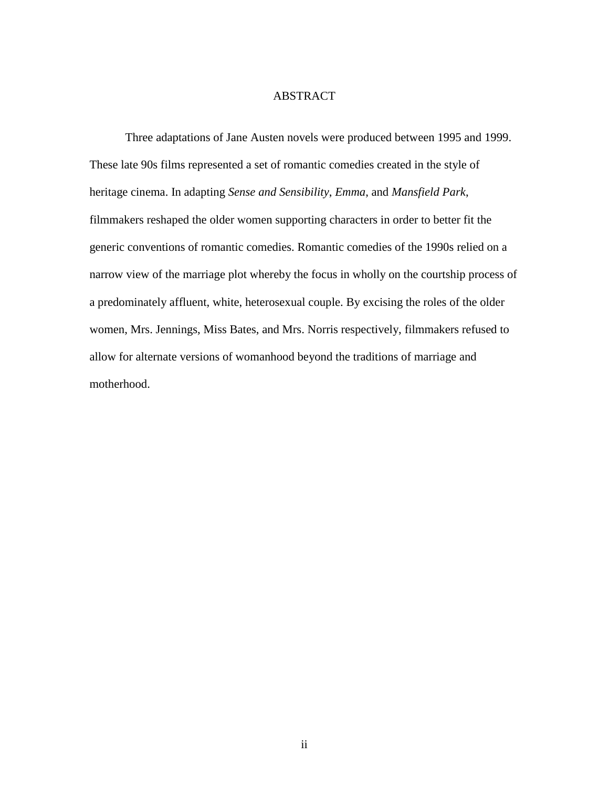# ABSTRACT

Three adaptations of Jane Austen novels were produced between 1995 and 1999. These late 90s films represented a set of romantic comedies created in the style of heritage cinema. In adapting *Sense and Sensibility*, *Emma*, and *Mansfield Park*, filmmakers reshaped the older women supporting characters in order to better fit the generic conventions of romantic comedies. Romantic comedies of the 1990s relied on a narrow view of the marriage plot whereby the focus in wholly on the courtship process of a predominately affluent, white, heterosexual couple. By excising the roles of the older women, Mrs. Jennings, Miss Bates, and Mrs. Norris respectively, filmmakers refused to allow for alternate versions of womanhood beyond the traditions of marriage and motherhood.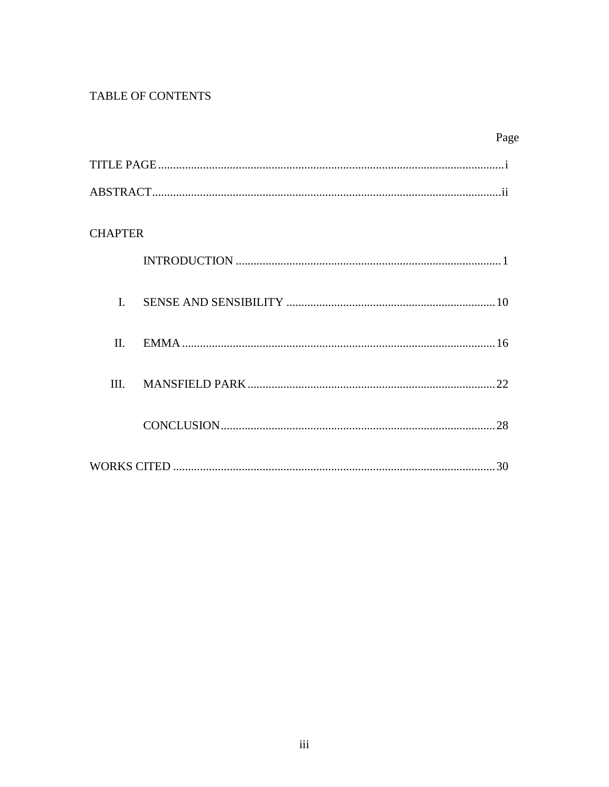# TABLE OF CONTENTS

|                | Page |
|----------------|------|
|                |      |
|                |      |
| <b>CHAPTER</b> |      |
|                |      |
| $\overline{L}$ |      |
| II.            |      |
| III.           |      |
|                |      |
|                |      |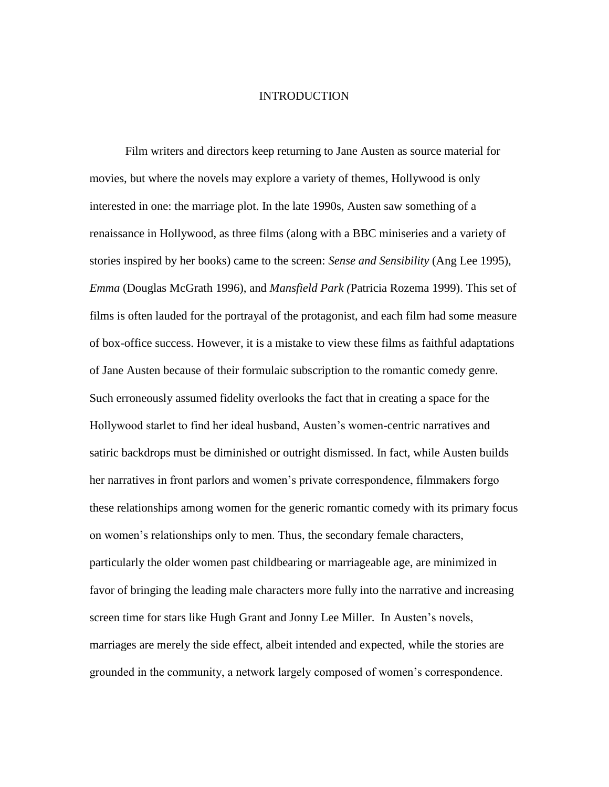#### INTRODUCTION

Film writers and directors keep returning to Jane Austen as source material for movies, but where the novels may explore a variety of themes, Hollywood is only interested in one: the marriage plot. In the late 1990s, Austen saw something of a renaissance in Hollywood, as three films (along with a BBC miniseries and a variety of stories inspired by her books) came to the screen: *Sense and Sensibility* (Ang Lee 1995), *Emma* (Douglas McGrath 1996), and *Mansfield Park (*Patricia Rozema 1999). This set of films is often lauded for the portrayal of the protagonist, and each film had some measure of box-office success. However, it is a mistake to view these films as faithful adaptations of Jane Austen because of their formulaic subscription to the romantic comedy genre. Such erroneously assumed fidelity overlooks the fact that in creating a space for the Hollywood starlet to find her ideal husband, Austen's women-centric narratives and satiric backdrops must be diminished or outright dismissed. In fact, while Austen builds her narratives in front parlors and women's private correspondence, filmmakers forgo these relationships among women for the generic romantic comedy with its primary focus on women's relationships only to men. Thus, the secondary female characters, particularly the older women past childbearing or marriageable age, are minimized in favor of bringing the leading male characters more fully into the narrative and increasing screen time for stars like Hugh Grant and Jonny Lee Miller. In Austen's novels, marriages are merely the side effect, albeit intended and expected, while the stories are grounded in the community, a network largely composed of women's correspondence.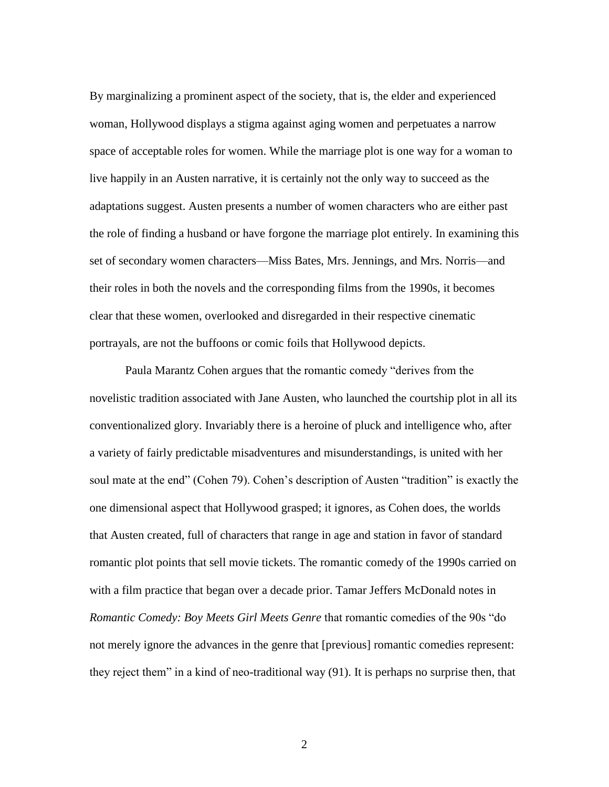By marginalizing a prominent aspect of the society, that is, the elder and experienced woman, Hollywood displays a stigma against aging women and perpetuates a narrow space of acceptable roles for women. While the marriage plot is one way for a woman to live happily in an Austen narrative, it is certainly not the only way to succeed as the adaptations suggest. Austen presents a number of women characters who are either past the role of finding a husband or have forgone the marriage plot entirely. In examining this set of secondary women characters—Miss Bates, Mrs. Jennings, and Mrs. Norris—and their roles in both the novels and the corresponding films from the 1990s, it becomes clear that these women, overlooked and disregarded in their respective cinematic portrayals, are not the buffoons or comic foils that Hollywood depicts.

Paula Marantz Cohen argues that the romantic comedy "derives from the novelistic tradition associated with Jane Austen, who launched the courtship plot in all its conventionalized glory. Invariably there is a heroine of pluck and intelligence who, after a variety of fairly predictable misadventures and misunderstandings, is united with her soul mate at the end" (Cohen 79). Cohen's description of Austen "tradition" is exactly the one dimensional aspect that Hollywood grasped; it ignores, as Cohen does, the worlds that Austen created, full of characters that range in age and station in favor of standard romantic plot points that sell movie tickets. The romantic comedy of the 1990s carried on with a film practice that began over a decade prior. Tamar Jeffers McDonald notes in *Romantic Comedy: Boy Meets Girl Meets Genre* that romantic comedies of the 90s "do not merely ignore the advances in the genre that [previous] romantic comedies represent: they reject them" in a kind of neo-traditional way (91). It is perhaps no surprise then, that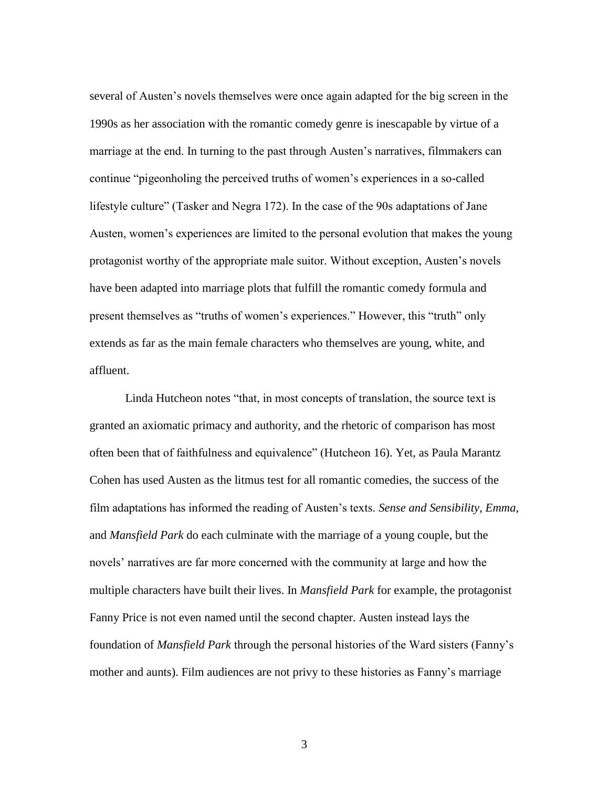several of Austen's novels themselves were once again adapted for the big screen in the 1990s as her association with the romantic comedy genre is inescapable by virtue of a marriage at the end. In turning to the past through Austen's narratives, filmmakers can continue "pigeonholing the perceived truths of women's experiences in a so-called lifestyle culture" (Tasker and Negra 172). In the case of the 90s adaptations of Jane Austen, women's experiences are limited to the personal evolution that makes the young protagonist worthy of the appropriate male suitor. Without exception, Austen's novels have been adapted into marriage plots that fulfill the romantic comedy formula and present themselves as "truths of women's experiences." However, this "truth" only extends as far as the main female characters who themselves are young, white, and affluent.

Linda Hutcheon notes "that, in most concepts of translation, the source text is granted an axiomatic primacy and authority, and the rhetoric of comparison has most often been that of faithfulness and equivalence" (Hutcheon 16). Yet, as Paula Marantz Cohen has used Austen as the litmus test for all romantic comedies, the success of the film adaptations has informed the reading of Austen's texts. *Sense and Sensibility*, *Emma*, and *Mansfield Park* do each culminate with the marriage of a young couple, but the novels' narratives are far more concerned with the community at large and how the multiple characters have built their lives. In *Mansfield Park* for example, the protagonist Fanny Price is not even named until the second chapter. Austen instead lays the foundation of *Mansfield Park* through the personal histories of the Ward sisters (Fanny's mother and aunts). Film audiences are not privy to these histories as Fanny's marriage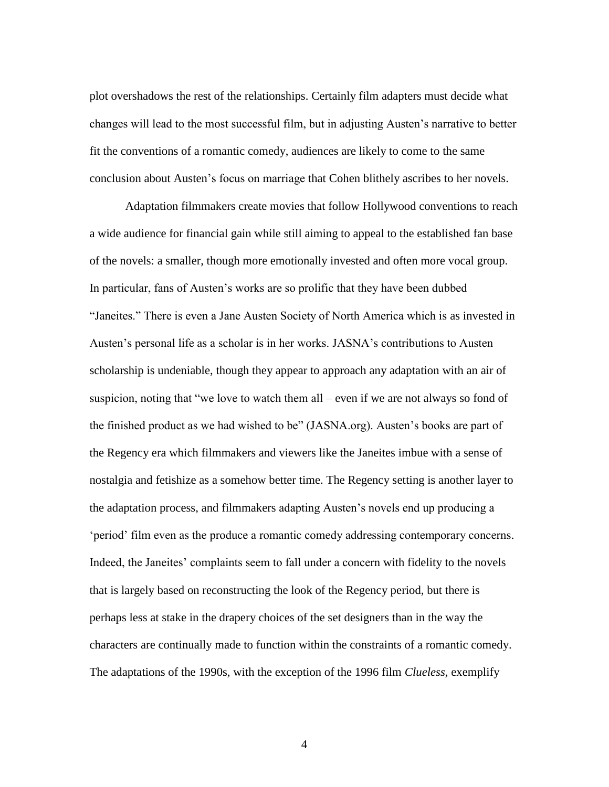plot overshadows the rest of the relationships. Certainly film adapters must decide what changes will lead to the most successful film, but in adjusting Austen's narrative to better fit the conventions of a romantic comedy, audiences are likely to come to the same conclusion about Austen's focus on marriage that Cohen blithely ascribes to her novels.

Adaptation filmmakers create movies that follow Hollywood conventions to reach a wide audience for financial gain while still aiming to appeal to the established fan base of the novels: a smaller, though more emotionally invested and often more vocal group. In particular, fans of Austen's works are so prolific that they have been dubbed "Janeites." There is even a Jane Austen Society of North America which is as invested in Austen's personal life as a scholar is in her works. JASNA's contributions to Austen scholarship is undeniable, though they appear to approach any adaptation with an air of suspicion, noting that "we love to watch them all – even if we are not always so fond of the finished product as we had wished to be" (JASNA.org). Austen's books are part of the Regency era which filmmakers and viewers like the Janeites imbue with a sense of nostalgia and fetishize as a somehow better time. The Regency setting is another layer to the adaptation process, and filmmakers adapting Austen's novels end up producing a 'period' film even as the produce a romantic comedy addressing contemporary concerns. Indeed, the Janeites' complaints seem to fall under a concern with fidelity to the novels that is largely based on reconstructing the look of the Regency period, but there is perhaps less at stake in the drapery choices of the set designers than in the way the characters are continually made to function within the constraints of a romantic comedy. The adaptations of the 1990s, with the exception of the 1996 film *Clueless,* exemplify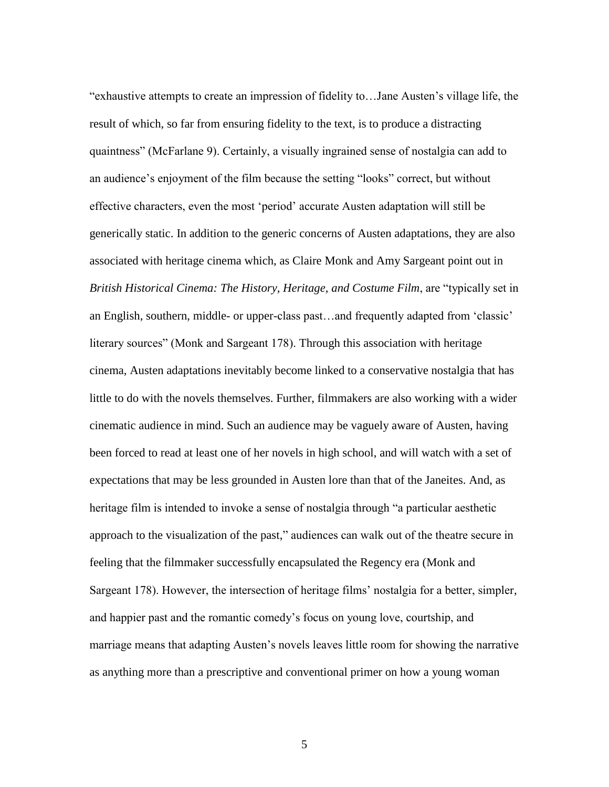"exhaustive attempts to create an impression of fidelity to…Jane Austen's village life, the result of which, so far from ensuring fidelity to the text, is to produce a distracting quaintness" (McFarlane 9). Certainly, a visually ingrained sense of nostalgia can add to an audience's enjoyment of the film because the setting "looks" correct, but without effective characters, even the most 'period' accurate Austen adaptation will still be generically static. In addition to the generic concerns of Austen adaptations, they are also associated with heritage cinema which, as Claire Monk and Amy Sargeant point out in *British Historical Cinema: The History, Heritage, and Costume Film*, are "typically set in an English, southern, middle- or upper-class past…and frequently adapted from 'classic' literary sources" (Monk and Sargeant 178). Through this association with heritage cinema, Austen adaptations inevitably become linked to a conservative nostalgia that has little to do with the novels themselves. Further, filmmakers are also working with a wider cinematic audience in mind. Such an audience may be vaguely aware of Austen, having been forced to read at least one of her novels in high school, and will watch with a set of expectations that may be less grounded in Austen lore than that of the Janeites. And, as heritage film is intended to invoke a sense of nostalgia through "a particular aesthetic approach to the visualization of the past," audiences can walk out of the theatre secure in feeling that the filmmaker successfully encapsulated the Regency era (Monk and Sargeant 178). However, the intersection of heritage films' nostalgia for a better, simpler, and happier past and the romantic comedy's focus on young love, courtship, and marriage means that adapting Austen's novels leaves little room for showing the narrative as anything more than a prescriptive and conventional primer on how a young woman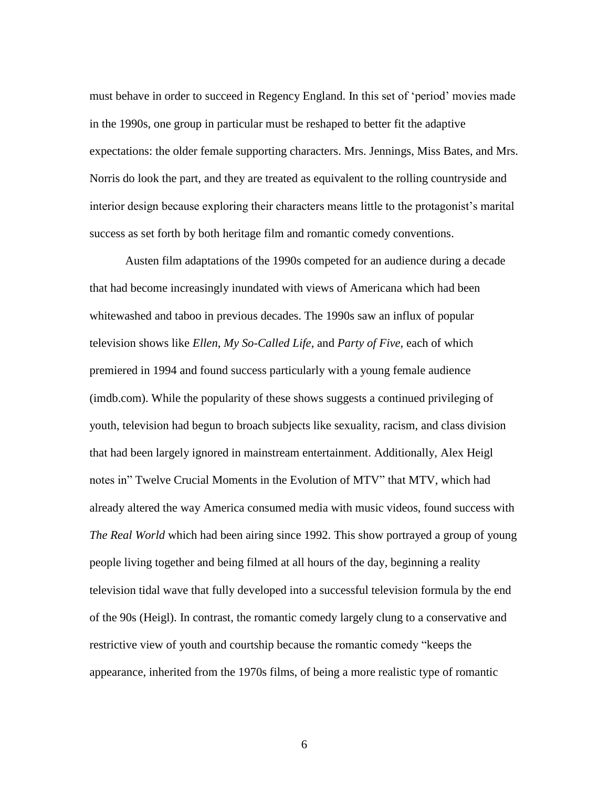must behave in order to succeed in Regency England. In this set of 'period' movies made in the 1990s, one group in particular must be reshaped to better fit the adaptive expectations: the older female supporting characters. Mrs. Jennings, Miss Bates, and Mrs. Norris do look the part, and they are treated as equivalent to the rolling countryside and interior design because exploring their characters means little to the protagonist's marital success as set forth by both heritage film and romantic comedy conventions.

Austen film adaptations of the 1990s competed for an audience during a decade that had become increasingly inundated with views of Americana which had been whitewashed and taboo in previous decades. The 1990s saw an influx of popular television shows like *Ellen*, *My So-Called Life*, and *Party of Five,* each of which premiered in 1994 and found success particularly with a young female audience (imdb.com). While the popularity of these shows suggests a continued privileging of youth, television had begun to broach subjects like sexuality, racism, and class division that had been largely ignored in mainstream entertainment. Additionally, Alex Heigl notes in" Twelve Crucial Moments in the Evolution of MTV" that MTV, which had already altered the way America consumed media with music videos, found success with *The Real World* which had been airing since 1992. This show portrayed a group of young people living together and being filmed at all hours of the day, beginning a reality television tidal wave that fully developed into a successful television formula by the end of the 90s (Heigl). In contrast, the romantic comedy largely clung to a conservative and restrictive view of youth and courtship because the romantic comedy "keeps the appearance, inherited from the 1970s films, of being a more realistic type of romantic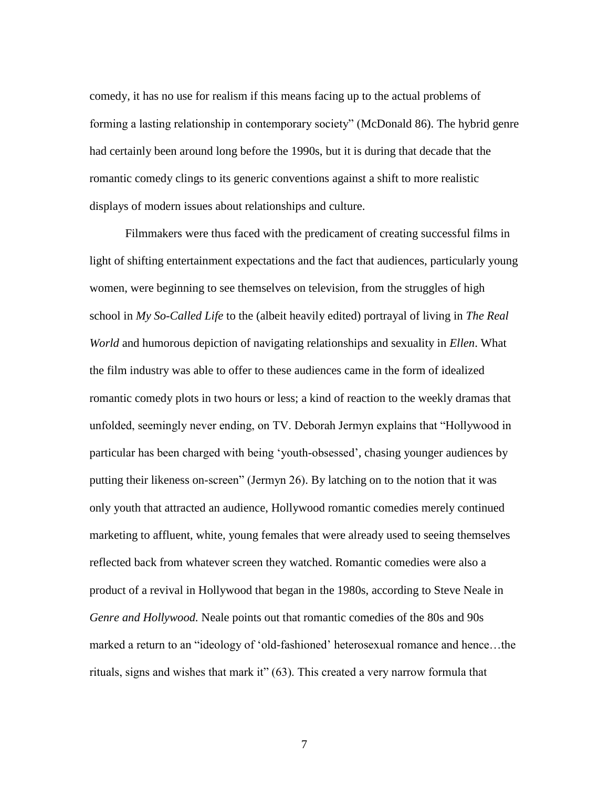comedy, it has no use for realism if this means facing up to the actual problems of forming a lasting relationship in contemporary society" (McDonald 86). The hybrid genre had certainly been around long before the 1990s, but it is during that decade that the romantic comedy clings to its generic conventions against a shift to more realistic displays of modern issues about relationships and culture.

Filmmakers were thus faced with the predicament of creating successful films in light of shifting entertainment expectations and the fact that audiences, particularly young women, were beginning to see themselves on television, from the struggles of high school in *My So-Called Life* to the (albeit heavily edited) portrayal of living in *The Real World* and humorous depiction of navigating relationships and sexuality in *Ellen*. What the film industry was able to offer to these audiences came in the form of idealized romantic comedy plots in two hours or less; a kind of reaction to the weekly dramas that unfolded, seemingly never ending, on TV. Deborah Jermyn explains that "Hollywood in particular has been charged with being 'youth-obsessed', chasing younger audiences by putting their likeness on-screen" (Jermyn 26). By latching on to the notion that it was only youth that attracted an audience, Hollywood romantic comedies merely continued marketing to affluent, white, young females that were already used to seeing themselves reflected back from whatever screen they watched. Romantic comedies were also a product of a revival in Hollywood that began in the 1980s, according to Steve Neale in *Genre and Hollywood.* Neale points out that romantic comedies of the 80s and 90s marked a return to an "ideology of 'old-fashioned' heterosexual romance and hence…the rituals, signs and wishes that mark it" (63). This created a very narrow formula that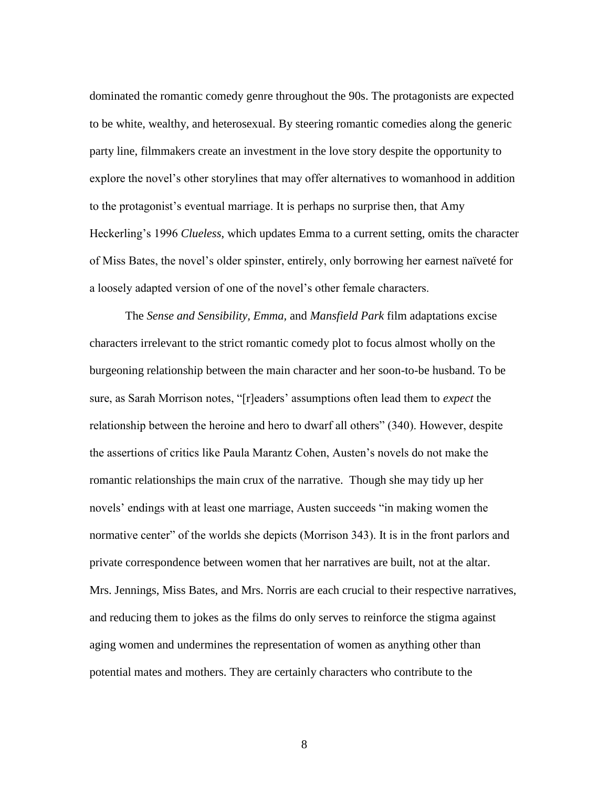dominated the romantic comedy genre throughout the 90s. The protagonists are expected to be white, wealthy, and heterosexual. By steering romantic comedies along the generic party line, filmmakers create an investment in the love story despite the opportunity to explore the novel's other storylines that may offer alternatives to womanhood in addition to the protagonist's eventual marriage. It is perhaps no surprise then, that Amy Heckerling's 1996 *Clueless*, which updates Emma to a current setting, omits the character of Miss Bates, the novel's older spinster, entirely, only borrowing her earnest naïveté for a loosely adapted version of one of the novel's other female characters.

The *Sense and Sensibility, Emma,* and *Mansfield Park* film adaptations excise characters irrelevant to the strict romantic comedy plot to focus almost wholly on the burgeoning relationship between the main character and her soon-to-be husband. To be sure, as Sarah Morrison notes, "[r]eaders' assumptions often lead them to *expect* the relationship between the heroine and hero to dwarf all others" (340). However, despite the assertions of critics like Paula Marantz Cohen, Austen's novels do not make the romantic relationships the main crux of the narrative. Though she may tidy up her novels' endings with at least one marriage, Austen succeeds "in making women the normative center" of the worlds she depicts (Morrison 343). It is in the front parlors and private correspondence between women that her narratives are built, not at the altar. Mrs. Jennings, Miss Bates, and Mrs. Norris are each crucial to their respective narratives, and reducing them to jokes as the films do only serves to reinforce the stigma against aging women and undermines the representation of women as anything other than potential mates and mothers. They are certainly characters who contribute to the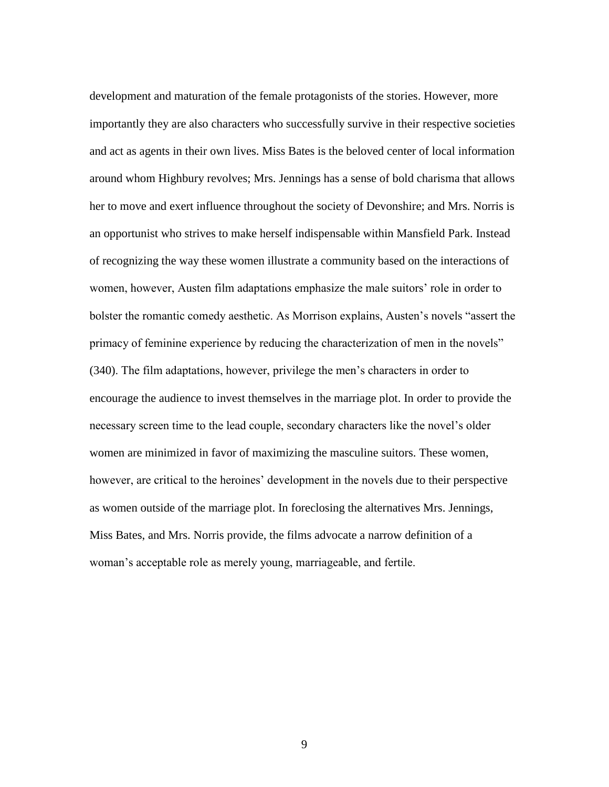development and maturation of the female protagonists of the stories. However, more importantly they are also characters who successfully survive in their respective societies and act as agents in their own lives. Miss Bates is the beloved center of local information around whom Highbury revolves; Mrs. Jennings has a sense of bold charisma that allows her to move and exert influence throughout the society of Devonshire; and Mrs. Norris is an opportunist who strives to make herself indispensable within Mansfield Park. Instead of recognizing the way these women illustrate a community based on the interactions of women, however, Austen film adaptations emphasize the male suitors' role in order to bolster the romantic comedy aesthetic. As Morrison explains, Austen's novels "assert the primacy of feminine experience by reducing the characterization of men in the novels" (340). The film adaptations, however, privilege the men's characters in order to encourage the audience to invest themselves in the marriage plot. In order to provide the necessary screen time to the lead couple, secondary characters like the novel's older women are minimized in favor of maximizing the masculine suitors. These women, however, are critical to the heroines' development in the novels due to their perspective as women outside of the marriage plot. In foreclosing the alternatives Mrs. Jennings, Miss Bates, and Mrs. Norris provide, the films advocate a narrow definition of a woman's acceptable role as merely young, marriageable, and fertile.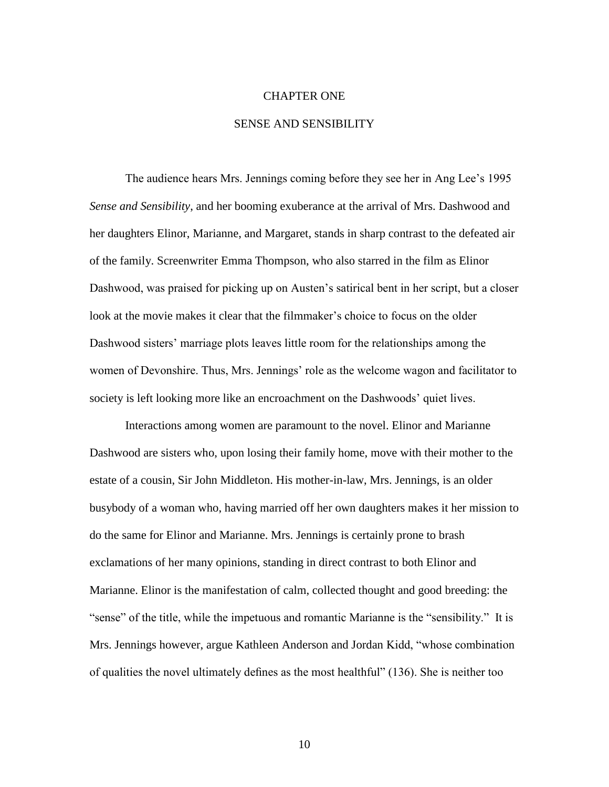# CHAPTER ONE

## SENSE AND SENSIBILITY

The audience hears Mrs. Jennings coming before they see her in Ang Lee's 1995 *Sense and Sensibility*, and her booming exuberance at the arrival of Mrs. Dashwood and her daughters Elinor, Marianne, and Margaret, stands in sharp contrast to the defeated air of the family. Screenwriter Emma Thompson, who also starred in the film as Elinor Dashwood, was praised for picking up on Austen's satirical bent in her script, but a closer look at the movie makes it clear that the filmmaker's choice to focus on the older Dashwood sisters' marriage plots leaves little room for the relationships among the women of Devonshire. Thus, Mrs. Jennings' role as the welcome wagon and facilitator to society is left looking more like an encroachment on the Dashwoods' quiet lives.

Interactions among women are paramount to the novel. Elinor and Marianne Dashwood are sisters who, upon losing their family home, move with their mother to the estate of a cousin, Sir John Middleton. His mother-in-law, Mrs. Jennings, is an older busybody of a woman who, having married off her own daughters makes it her mission to do the same for Elinor and Marianne. Mrs. Jennings is certainly prone to brash exclamations of her many opinions, standing in direct contrast to both Elinor and Marianne. Elinor is the manifestation of calm, collected thought and good breeding: the "sense" of the title, while the impetuous and romantic Marianne is the "sensibility." It is Mrs. Jennings however, argue Kathleen Anderson and Jordan Kidd, "whose combination of qualities the novel ultimately defines as the most healthful" (136). She is neither too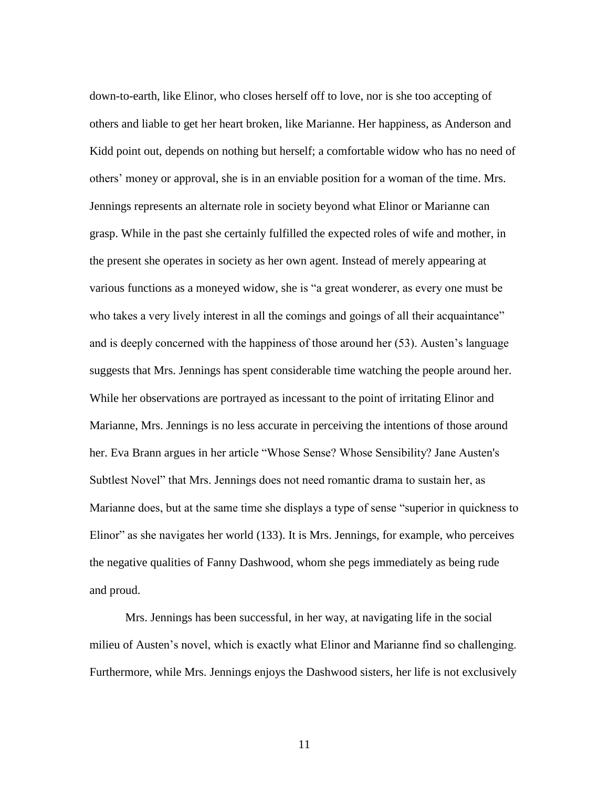down-to-earth, like Elinor, who closes herself off to love, nor is she too accepting of others and liable to get her heart broken, like Marianne. Her happiness, as Anderson and Kidd point out, depends on nothing but herself; a comfortable widow who has no need of others' money or approval, she is in an enviable position for a woman of the time. Mrs. Jennings represents an alternate role in society beyond what Elinor or Marianne can grasp. While in the past she certainly fulfilled the expected roles of wife and mother, in the present she operates in society as her own agent. Instead of merely appearing at various functions as a moneyed widow, she is "a great wonderer, as every one must be who takes a very lively interest in all the comings and goings of all their acquaintance" and is deeply concerned with the happiness of those around her (53). Austen's language suggests that Mrs. Jennings has spent considerable time watching the people around her. While her observations are portrayed as incessant to the point of irritating Elinor and Marianne, Mrs. Jennings is no less accurate in perceiving the intentions of those around her. Eva Brann argues in her article "Whose Sense? Whose Sensibility? Jane Austen's Subtlest Novel" that Mrs. Jennings does not need romantic drama to sustain her, as Marianne does, but at the same time she displays a type of sense "superior in quickness to Elinor" as she navigates her world (133). It is Mrs. Jennings, for example, who perceives the negative qualities of Fanny Dashwood, whom she pegs immediately as being rude and proud.

Mrs. Jennings has been successful, in her way, at navigating life in the social milieu of Austen's novel, which is exactly what Elinor and Marianne find so challenging. Furthermore, while Mrs. Jennings enjoys the Dashwood sisters, her life is not exclusively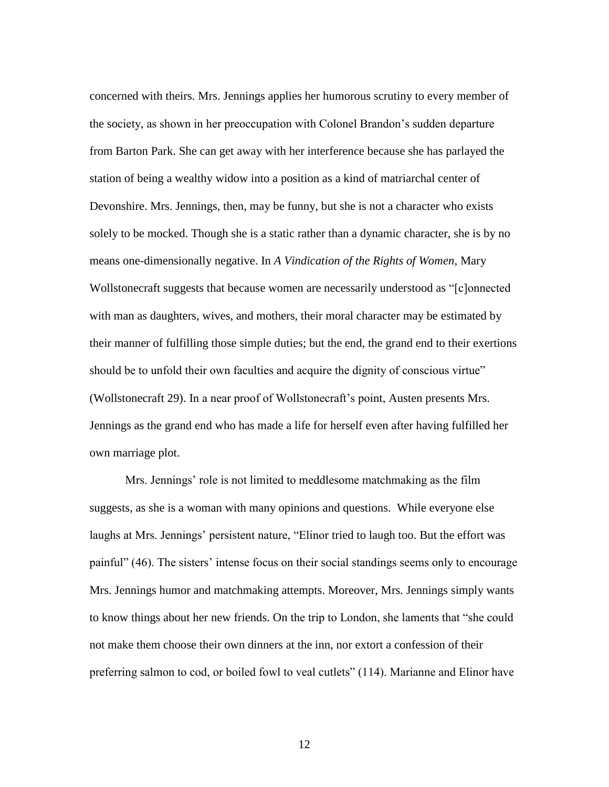concerned with theirs. Mrs. Jennings applies her humorous scrutiny to every member of the society, as shown in her preoccupation with Colonel Brandon's sudden departure from Barton Park. She can get away with her interference because she has parlayed the station of being a wealthy widow into a position as a kind of matriarchal center of Devonshire. Mrs. Jennings, then, may be funny, but she is not a character who exists solely to be mocked. Though she is a static rather than a dynamic character, she is by no means one-dimensionally negative. In *A Vindication of the Rights of Women*, Mary Wollstonecraft suggests that because women are necessarily understood as "[c]onnected with man as daughters, wives, and mothers, their moral character may be estimated by their manner of fulfilling those simple duties; but the end, the grand end to their exertions should be to unfold their own faculties and acquire the dignity of conscious virtue" (Wollstonecraft 29). In a near proof of Wollstonecraft's point, Austen presents Mrs. Jennings as the grand end who has made a life for herself even after having fulfilled her own marriage plot.

Mrs. Jennings' role is not limited to meddlesome matchmaking as the film suggests, as she is a woman with many opinions and questions. While everyone else laughs at Mrs. Jennings' persistent nature, "Elinor tried to laugh too. But the effort was painful" (46). The sisters' intense focus on their social standings seems only to encourage Mrs. Jennings humor and matchmaking attempts. Moreover, Mrs. Jennings simply wants to know things about her new friends. On the trip to London, she laments that "she could not make them choose their own dinners at the inn, nor extort a confession of their preferring salmon to cod, or boiled fowl to veal cutlets" (114). Marianne and Elinor have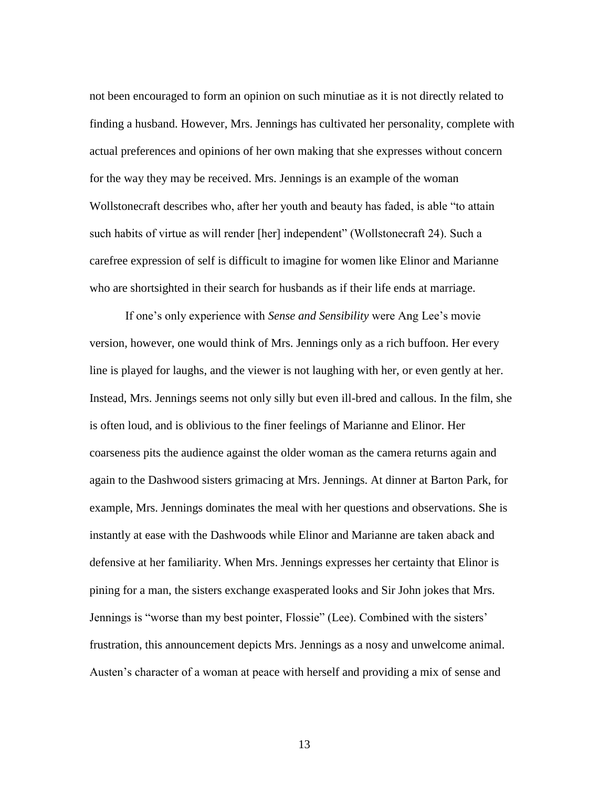not been encouraged to form an opinion on such minutiae as it is not directly related to finding a husband. However, Mrs. Jennings has cultivated her personality, complete with actual preferences and opinions of her own making that she expresses without concern for the way they may be received. Mrs. Jennings is an example of the woman Wollstonecraft describes who, after her youth and beauty has faded, is able "to attain such habits of virtue as will render [her] independent" (Wollstonecraft 24). Such a carefree expression of self is difficult to imagine for women like Elinor and Marianne who are shortsighted in their search for husbands as if their life ends at marriage.

If one's only experience with *Sense and Sensibility* were Ang Lee's movie version, however, one would think of Mrs. Jennings only as a rich buffoon. Her every line is played for laughs, and the viewer is not laughing with her, or even gently at her. Instead, Mrs. Jennings seems not only silly but even ill-bred and callous. In the film, she is often loud, and is oblivious to the finer feelings of Marianne and Elinor. Her coarseness pits the audience against the older woman as the camera returns again and again to the Dashwood sisters grimacing at Mrs. Jennings. At dinner at Barton Park, for example, Mrs. Jennings dominates the meal with her questions and observations. She is instantly at ease with the Dashwoods while Elinor and Marianne are taken aback and defensive at her familiarity. When Mrs. Jennings expresses her certainty that Elinor is pining for a man, the sisters exchange exasperated looks and Sir John jokes that Mrs. Jennings is "worse than my best pointer, Flossie" (Lee). Combined with the sisters' frustration, this announcement depicts Mrs. Jennings as a nosy and unwelcome animal. Austen's character of a woman at peace with herself and providing a mix of sense and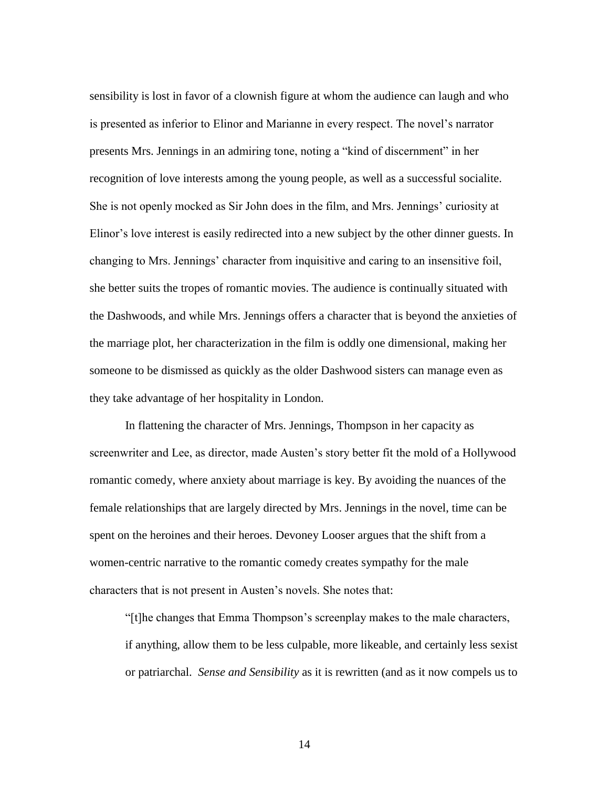sensibility is lost in favor of a clownish figure at whom the audience can laugh and who is presented as inferior to Elinor and Marianne in every respect. The novel's narrator presents Mrs. Jennings in an admiring tone, noting a "kind of discernment" in her recognition of love interests among the young people, as well as a successful socialite. She is not openly mocked as Sir John does in the film, and Mrs. Jennings' curiosity at Elinor's love interest is easily redirected into a new subject by the other dinner guests. In changing to Mrs. Jennings' character from inquisitive and caring to an insensitive foil, she better suits the tropes of romantic movies. The audience is continually situated with the Dashwoods, and while Mrs. Jennings offers a character that is beyond the anxieties of the marriage plot, her characterization in the film is oddly one dimensional, making her someone to be dismissed as quickly as the older Dashwood sisters can manage even as they take advantage of her hospitality in London.

In flattening the character of Mrs. Jennings, Thompson in her capacity as screenwriter and Lee, as director, made Austen's story better fit the mold of a Hollywood romantic comedy, where anxiety about marriage is key. By avoiding the nuances of the female relationships that are largely directed by Mrs. Jennings in the novel, time can be spent on the heroines and their heroes. Devoney Looser argues that the shift from a women-centric narrative to the romantic comedy creates sympathy for the male characters that is not present in Austen's novels. She notes that:

"[t]he changes that Emma Thompson's screenplay makes to the male characters, if anything, allow them to be less culpable, more likeable, and certainly less sexist or patriarchal. *Sense and Sensibility* as it is rewritten (and as it now compels us to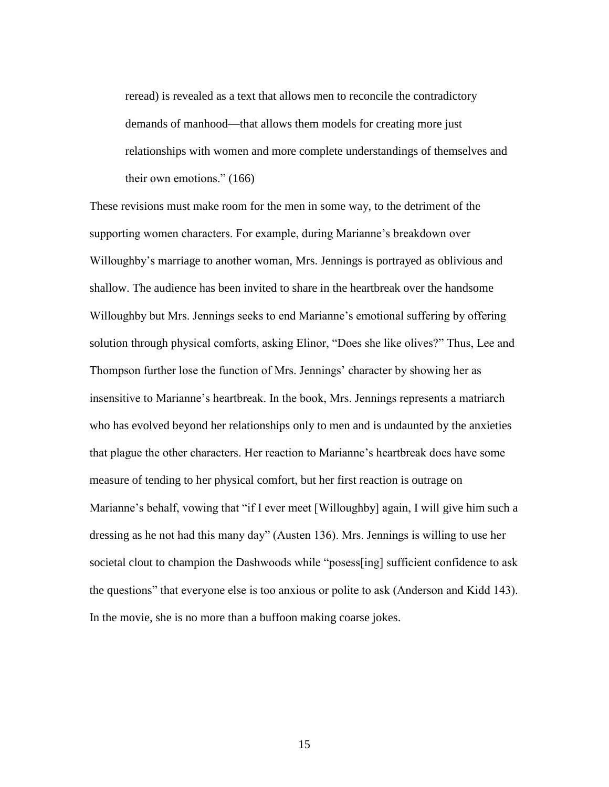reread) is revealed as a text that allows men to reconcile the contradictory demands of manhood—that allows them models for creating more just relationships with women and more complete understandings of themselves and their own emotions." (166)

These revisions must make room for the men in some way, to the detriment of the supporting women characters. For example, during Marianne's breakdown over Willoughby's marriage to another woman, Mrs. Jennings is portrayed as oblivious and shallow. The audience has been invited to share in the heartbreak over the handsome Willoughby but Mrs. Jennings seeks to end Marianne's emotional suffering by offering solution through physical comforts, asking Elinor, "Does she like olives?" Thus, Lee and Thompson further lose the function of Mrs. Jennings' character by showing her as insensitive to Marianne's heartbreak. In the book, Mrs. Jennings represents a matriarch who has evolved beyond her relationships only to men and is undaunted by the anxieties that plague the other characters. Her reaction to Marianne's heartbreak does have some measure of tending to her physical comfort, but her first reaction is outrage on Marianne's behalf, vowing that "if I ever meet [Willoughby] again, I will give him such a dressing as he not had this many day" (Austen 136). Mrs. Jennings is willing to use her societal clout to champion the Dashwoods while "posess[ing] sufficient confidence to ask the questions" that everyone else is too anxious or polite to ask (Anderson and Kidd 143). In the movie, she is no more than a buffoon making coarse jokes.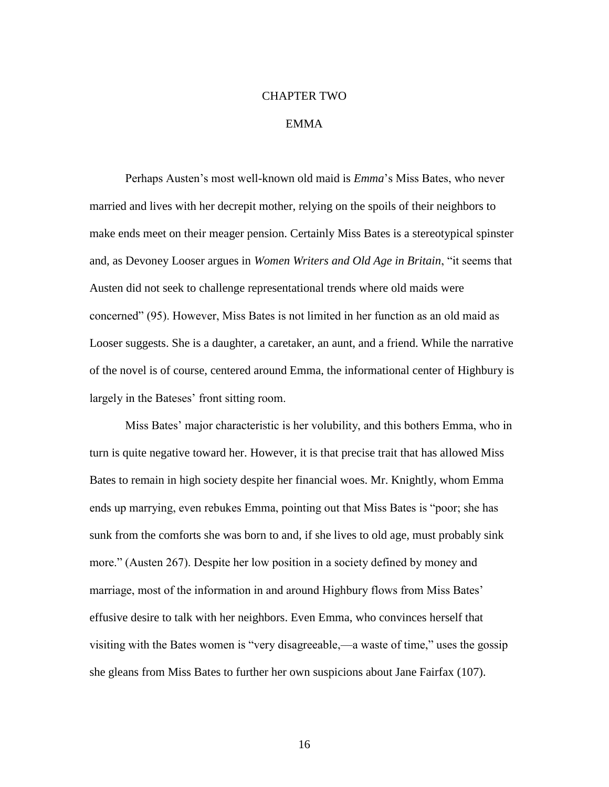# CHAPTER TWO

# EMMA

Perhaps Austen's most well-known old maid is *Emma*'s Miss Bates, who never married and lives with her decrepit mother, relying on the spoils of their neighbors to make ends meet on their meager pension. Certainly Miss Bates is a stereotypical spinster and, as Devoney Looser argues in *Women Writers and Old Age in Britain*, "it seems that Austen did not seek to challenge representational trends where old maids were concerned" (95). However, Miss Bates is not limited in her function as an old maid as Looser suggests. She is a daughter, a caretaker, an aunt, and a friend. While the narrative of the novel is of course, centered around Emma, the informational center of Highbury is largely in the Bateses' front sitting room.

Miss Bates' major characteristic is her volubility, and this bothers Emma, who in turn is quite negative toward her. However, it is that precise trait that has allowed Miss Bates to remain in high society despite her financial woes. Mr. Knightly, whom Emma ends up marrying, even rebukes Emma, pointing out that Miss Bates is "poor; she has sunk from the comforts she was born to and, if she lives to old age, must probably sink more." (Austen 267). Despite her low position in a society defined by money and marriage, most of the information in and around Highbury flows from Miss Bates' effusive desire to talk with her neighbors. Even Emma, who convinces herself that visiting with the Bates women is "very disagreeable,—a waste of time," uses the gossip she gleans from Miss Bates to further her own suspicions about Jane Fairfax (107).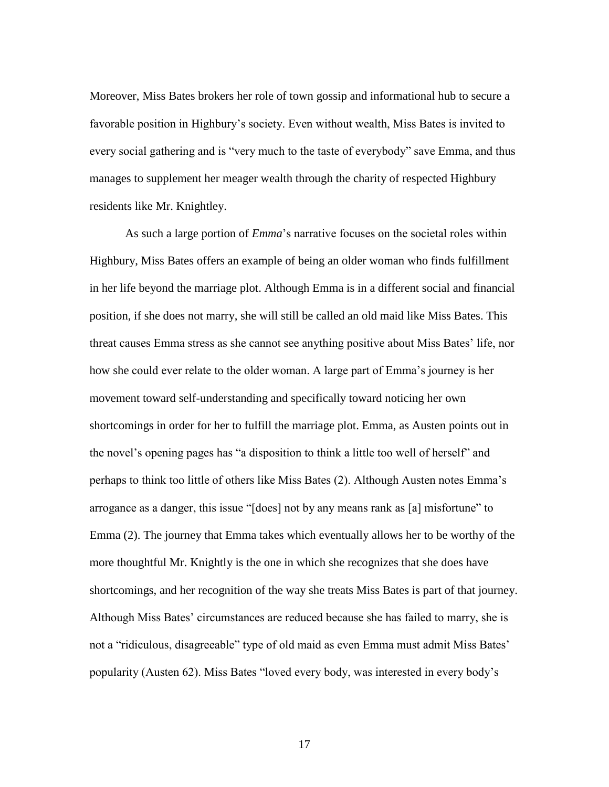Moreover, Miss Bates brokers her role of town gossip and informational hub to secure a favorable position in Highbury's society. Even without wealth, Miss Bates is invited to every social gathering and is "very much to the taste of everybody" save Emma, and thus manages to supplement her meager wealth through the charity of respected Highbury residents like Mr. Knightley.

As such a large portion of *Emma*'s narrative focuses on the societal roles within Highbury, Miss Bates offers an example of being an older woman who finds fulfillment in her life beyond the marriage plot. Although Emma is in a different social and financial position, if she does not marry, she will still be called an old maid like Miss Bates. This threat causes Emma stress as she cannot see anything positive about Miss Bates' life, nor how she could ever relate to the older woman. A large part of Emma's journey is her movement toward self-understanding and specifically toward noticing her own shortcomings in order for her to fulfill the marriage plot. Emma, as Austen points out in the novel's opening pages has "a disposition to think a little too well of herself" and perhaps to think too little of others like Miss Bates (2). Although Austen notes Emma's arrogance as a danger, this issue "[does] not by any means rank as [a] misfortune" to Emma (2). The journey that Emma takes which eventually allows her to be worthy of the more thoughtful Mr. Knightly is the one in which she recognizes that she does have shortcomings, and her recognition of the way she treats Miss Bates is part of that journey. Although Miss Bates' circumstances are reduced because she has failed to marry, she is not a "ridiculous, disagreeable" type of old maid as even Emma must admit Miss Bates' popularity (Austen 62). Miss Bates "loved every body, was interested in every body's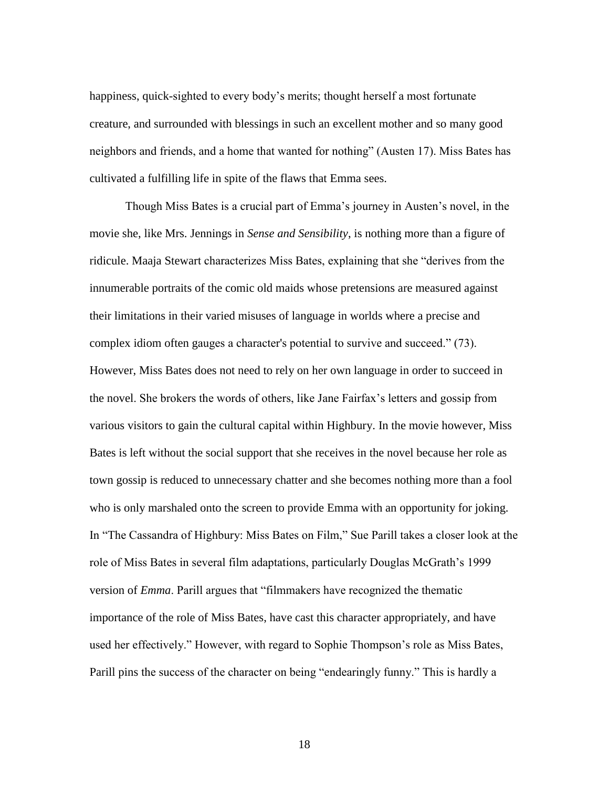happiness, quick-sighted to every body's merits; thought herself a most fortunate creature, and surrounded with blessings in such an excellent mother and so many good neighbors and friends, and a home that wanted for nothing" (Austen 17). Miss Bates has cultivated a fulfilling life in spite of the flaws that Emma sees.

Though Miss Bates is a crucial part of Emma's journey in Austen's novel, in the movie she, like Mrs. Jennings in *Sense and Sensibility*, is nothing more than a figure of ridicule. Maaja Stewart characterizes Miss Bates, explaining that she "derives from the innumerable portraits of the comic old maids whose pretensions are measured against their limitations in their varied misuses of language in worlds where a precise and complex idiom often gauges a character's potential to survive and succeed." (73). However, Miss Bates does not need to rely on her own language in order to succeed in the novel. She brokers the words of others, like Jane Fairfax's letters and gossip from various visitors to gain the cultural capital within Highbury. In the movie however, Miss Bates is left without the social support that she receives in the novel because her role as town gossip is reduced to unnecessary chatter and she becomes nothing more than a fool who is only marshaled onto the screen to provide Emma with an opportunity for joking. In "The Cassandra of Highbury: Miss Bates on Film," Sue Parill takes a closer look at the role of Miss Bates in several film adaptations, particularly Douglas McGrath's 1999 version of *Emma*. Parill argues that "filmmakers have recognized the thematic importance of the role of Miss Bates, have cast this character appropriately, and have used her effectively." However, with regard to Sophie Thompson's role as Miss Bates, Parill pins the success of the character on being "endearingly funny." This is hardly a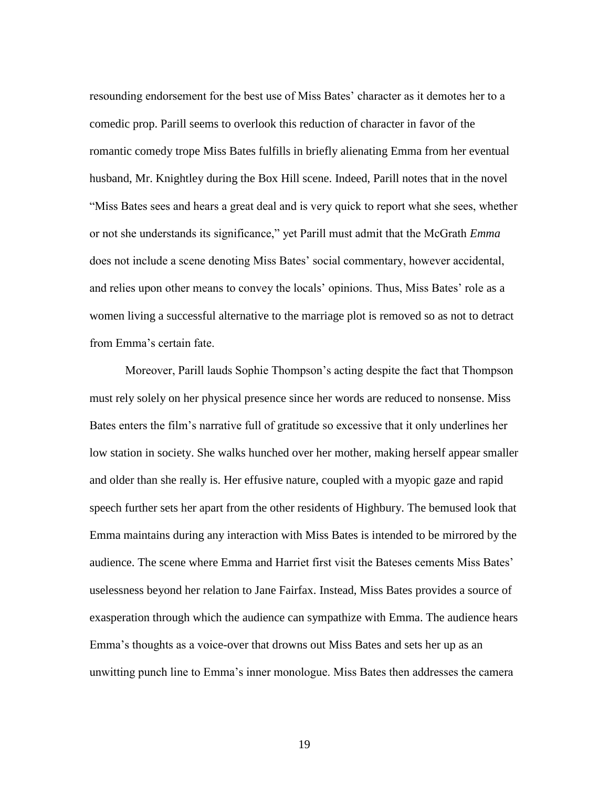resounding endorsement for the best use of Miss Bates' character as it demotes her to a comedic prop. Parill seems to overlook this reduction of character in favor of the romantic comedy trope Miss Bates fulfills in briefly alienating Emma from her eventual husband, Mr. Knightley during the Box Hill scene. Indeed, Parill notes that in the novel "Miss Bates sees and hears a great deal and is very quick to report what she sees, whether or not she understands its significance," yet Parill must admit that the McGrath *Emma* does not include a scene denoting Miss Bates' social commentary, however accidental, and relies upon other means to convey the locals' opinions. Thus, Miss Bates' role as a women living a successful alternative to the marriage plot is removed so as not to detract from Emma's certain fate.

Moreover, Parill lauds Sophie Thompson's acting despite the fact that Thompson must rely solely on her physical presence since her words are reduced to nonsense. Miss Bates enters the film's narrative full of gratitude so excessive that it only underlines her low station in society. She walks hunched over her mother, making herself appear smaller and older than she really is. Her effusive nature, coupled with a myopic gaze and rapid speech further sets her apart from the other residents of Highbury. The bemused look that Emma maintains during any interaction with Miss Bates is intended to be mirrored by the audience. The scene where Emma and Harriet first visit the Bateses cements Miss Bates' uselessness beyond her relation to Jane Fairfax. Instead, Miss Bates provides a source of exasperation through which the audience can sympathize with Emma. The audience hears Emma's thoughts as a voice-over that drowns out Miss Bates and sets her up as an unwitting punch line to Emma's inner monologue. Miss Bates then addresses the camera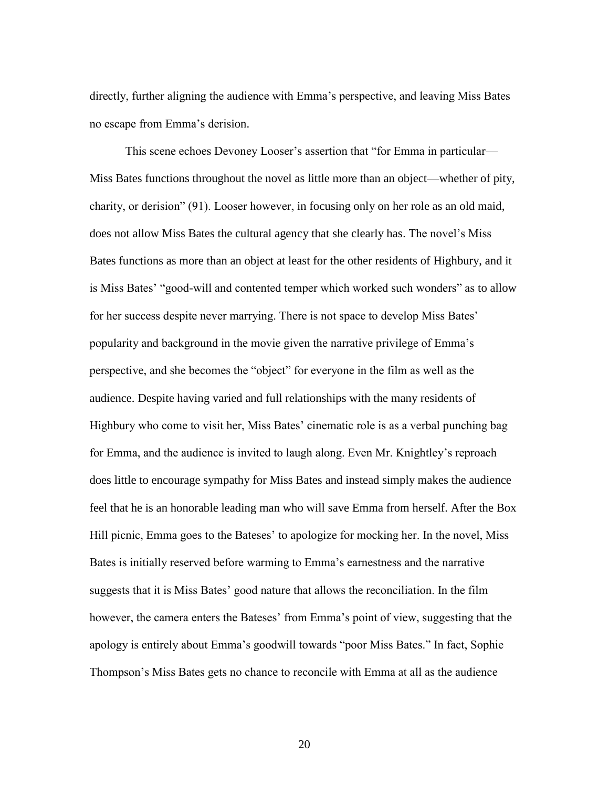directly, further aligning the audience with Emma's perspective, and leaving Miss Bates no escape from Emma's derision.

This scene echoes Devoney Looser's assertion that "for Emma in particular— Miss Bates functions throughout the novel as little more than an object—whether of pity, charity, or derision" (91). Looser however, in focusing only on her role as an old maid, does not allow Miss Bates the cultural agency that she clearly has. The novel's Miss Bates functions as more than an object at least for the other residents of Highbury, and it is Miss Bates' "good-will and contented temper which worked such wonders" as to allow for her success despite never marrying. There is not space to develop Miss Bates' popularity and background in the movie given the narrative privilege of Emma's perspective, and she becomes the "object" for everyone in the film as well as the audience. Despite having varied and full relationships with the many residents of Highbury who come to visit her, Miss Bates' cinematic role is as a verbal punching bag for Emma, and the audience is invited to laugh along. Even Mr. Knightley's reproach does little to encourage sympathy for Miss Bates and instead simply makes the audience feel that he is an honorable leading man who will save Emma from herself. After the Box Hill picnic, Emma goes to the Bateses' to apologize for mocking her. In the novel, Miss Bates is initially reserved before warming to Emma's earnestness and the narrative suggests that it is Miss Bates' good nature that allows the reconciliation. In the film however, the camera enters the Bateses' from Emma's point of view, suggesting that the apology is entirely about Emma's goodwill towards "poor Miss Bates." In fact, Sophie Thompson's Miss Bates gets no chance to reconcile with Emma at all as the audience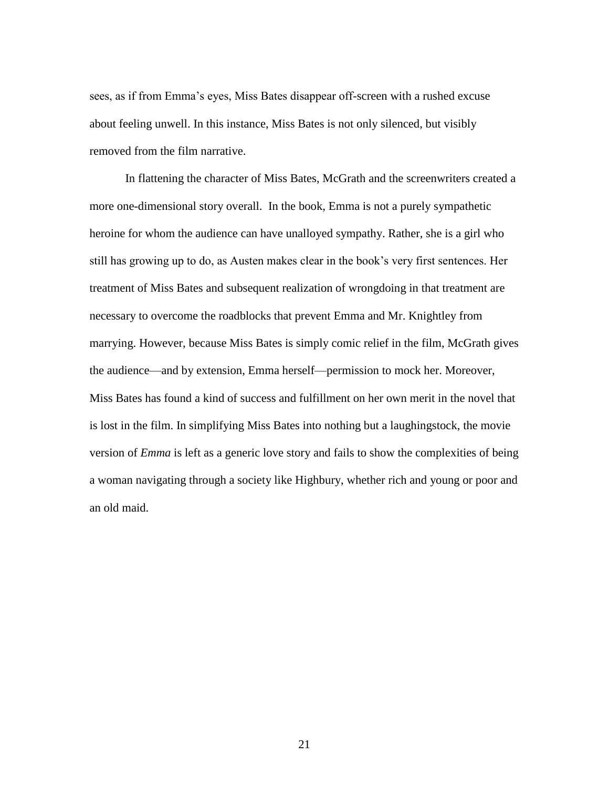sees, as if from Emma's eyes, Miss Bates disappear off-screen with a rushed excuse about feeling unwell. In this instance, Miss Bates is not only silenced, but visibly removed from the film narrative.

In flattening the character of Miss Bates, McGrath and the screenwriters created a more one-dimensional story overall. In the book, Emma is not a purely sympathetic heroine for whom the audience can have unalloyed sympathy. Rather, she is a girl who still has growing up to do, as Austen makes clear in the book's very first sentences. Her treatment of Miss Bates and subsequent realization of wrongdoing in that treatment are necessary to overcome the roadblocks that prevent Emma and Mr. Knightley from marrying. However, because Miss Bates is simply comic relief in the film, McGrath gives the audience—and by extension, Emma herself—permission to mock her. Moreover, Miss Bates has found a kind of success and fulfillment on her own merit in the novel that is lost in the film. In simplifying Miss Bates into nothing but a laughingstock, the movie version of *Emma* is left as a generic love story and fails to show the complexities of being a woman navigating through a society like Highbury, whether rich and young or poor and an old maid.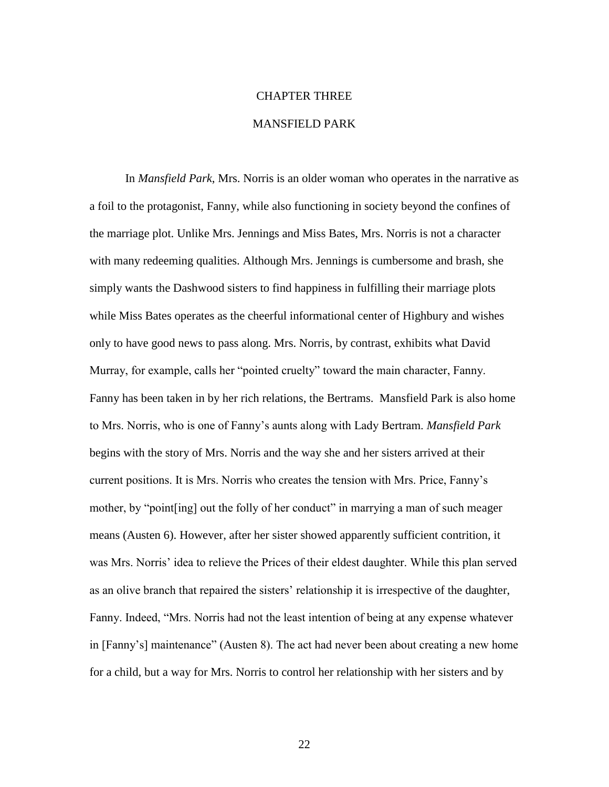# CHAPTER THREE

# MANSFIELD PARK

In *Mansfield Park*, Mrs. Norris is an older woman who operates in the narrative as a foil to the protagonist, Fanny, while also functioning in society beyond the confines of the marriage plot. Unlike Mrs. Jennings and Miss Bates, Mrs. Norris is not a character with many redeeming qualities. Although Mrs. Jennings is cumbersome and brash, she simply wants the Dashwood sisters to find happiness in fulfilling their marriage plots while Miss Bates operates as the cheerful informational center of Highbury and wishes only to have good news to pass along. Mrs. Norris, by contrast, exhibits what David Murray, for example, calls her "pointed cruelty" toward the main character, Fanny. Fanny has been taken in by her rich relations, the Bertrams. Mansfield Park is also home to Mrs. Norris, who is one of Fanny's aunts along with Lady Bertram. *Mansfield Park* begins with the story of Mrs. Norris and the way she and her sisters arrived at their current positions. It is Mrs. Norris who creates the tension with Mrs. Price, Fanny's mother, by "point [ing] out the folly of her conduct" in marrying a man of such meager means (Austen 6). However, after her sister showed apparently sufficient contrition, it was Mrs. Norris' idea to relieve the Prices of their eldest daughter. While this plan served as an olive branch that repaired the sisters' relationship it is irrespective of the daughter, Fanny. Indeed, "Mrs. Norris had not the least intention of being at any expense whatever in [Fanny's] maintenance" (Austen 8). The act had never been about creating a new home for a child, but a way for Mrs. Norris to control her relationship with her sisters and by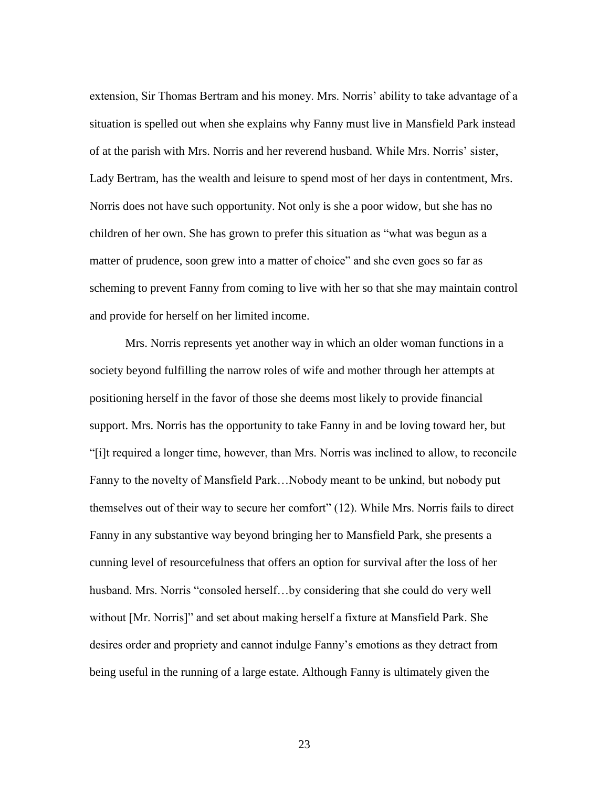extension, Sir Thomas Bertram and his money. Mrs. Norris' ability to take advantage of a situation is spelled out when she explains why Fanny must live in Mansfield Park instead of at the parish with Mrs. Norris and her reverend husband. While Mrs. Norris' sister, Lady Bertram, has the wealth and leisure to spend most of her days in contentment, Mrs. Norris does not have such opportunity. Not only is she a poor widow, but she has no children of her own. She has grown to prefer this situation as "what was begun as a matter of prudence, soon grew into a matter of choice" and she even goes so far as scheming to prevent Fanny from coming to live with her so that she may maintain control and provide for herself on her limited income.

Mrs. Norris represents yet another way in which an older woman functions in a society beyond fulfilling the narrow roles of wife and mother through her attempts at positioning herself in the favor of those she deems most likely to provide financial support. Mrs. Norris has the opportunity to take Fanny in and be loving toward her, but "[i]t required a longer time, however, than Mrs. Norris was inclined to allow, to reconcile Fanny to the novelty of Mansfield Park…Nobody meant to be unkind, but nobody put themselves out of their way to secure her comfort" (12). While Mrs. Norris fails to direct Fanny in any substantive way beyond bringing her to Mansfield Park, she presents a cunning level of resourcefulness that offers an option for survival after the loss of her husband. Mrs. Norris "consoled herself…by considering that she could do very well without [Mr. Norris]" and set about making herself a fixture at Mansfield Park. She desires order and propriety and cannot indulge Fanny's emotions as they detract from being useful in the running of a large estate. Although Fanny is ultimately given the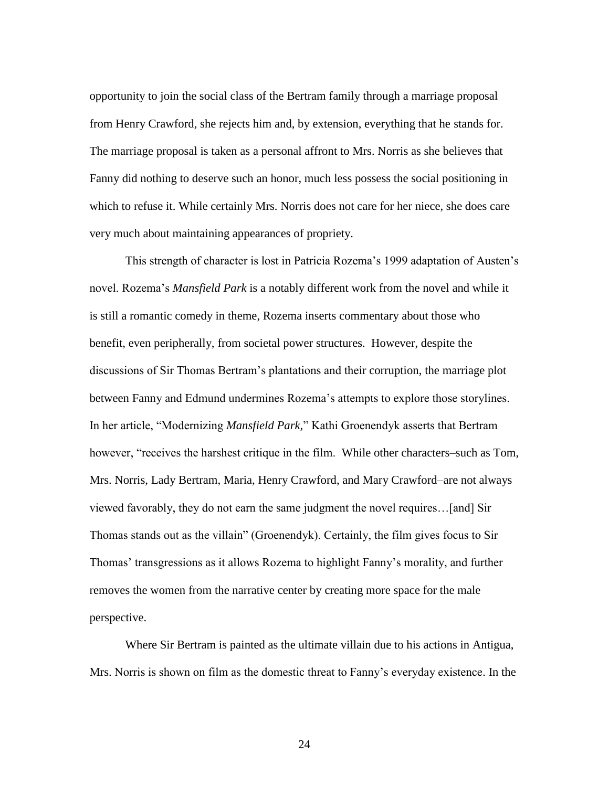opportunity to join the social class of the Bertram family through a marriage proposal from Henry Crawford, she rejects him and, by extension, everything that he stands for. The marriage proposal is taken as a personal affront to Mrs. Norris as she believes that Fanny did nothing to deserve such an honor, much less possess the social positioning in which to refuse it. While certainly Mrs. Norris does not care for her niece, she does care very much about maintaining appearances of propriety.

This strength of character is lost in Patricia Rozema's 1999 adaptation of Austen's novel. Rozema's *Mansfield Park* is a notably different work from the novel and while it is still a romantic comedy in theme, Rozema inserts commentary about those who benefit, even peripherally, from societal power structures. However, despite the discussions of Sir Thomas Bertram's plantations and their corruption, the marriage plot between Fanny and Edmund undermines Rozema's attempts to explore those storylines. In her article, "Modernizing *Mansfield Park,*" Kathi Groenendyk asserts that Bertram however, "receives the harshest critique in the film. While other characters–such as Tom, Mrs. Norris, Lady Bertram, Maria, Henry Crawford, and Mary Crawford–are not always viewed favorably, they do not earn the same judgment the novel requires…[and] Sir Thomas stands out as the villain" (Groenendyk). Certainly, the film gives focus to Sir Thomas' transgressions as it allows Rozema to highlight Fanny's morality, and further removes the women from the narrative center by creating more space for the male perspective.

Where Sir Bertram is painted as the ultimate villain due to his actions in Antigua, Mrs. Norris is shown on film as the domestic threat to Fanny's everyday existence. In the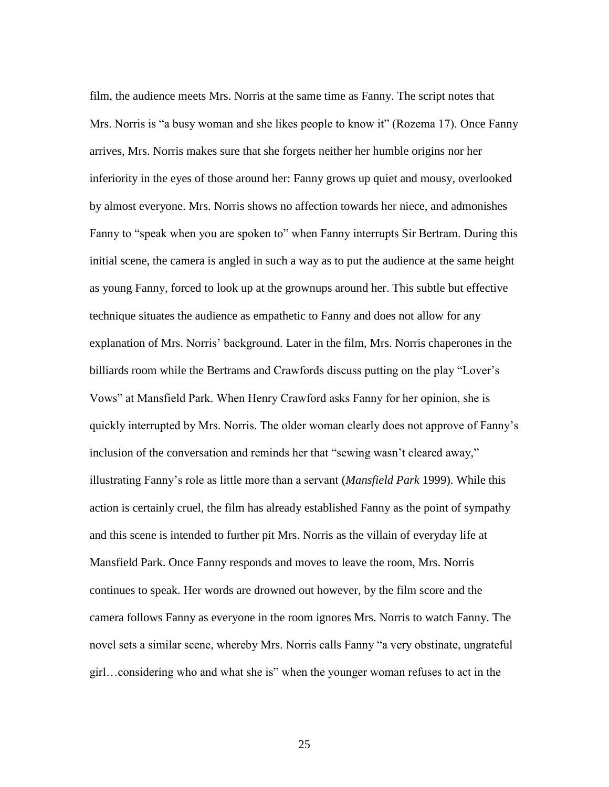film, the audience meets Mrs. Norris at the same time as Fanny. The script notes that Mrs. Norris is "a busy woman and she likes people to know it" (Rozema 17). Once Fanny arrives, Mrs. Norris makes sure that she forgets neither her humble origins nor her inferiority in the eyes of those around her: Fanny grows up quiet and mousy, overlooked by almost everyone. Mrs. Norris shows no affection towards her niece, and admonishes Fanny to "speak when you are spoken to" when Fanny interrupts Sir Bertram. During this initial scene, the camera is angled in such a way as to put the audience at the same height as young Fanny, forced to look up at the grownups around her. This subtle but effective technique situates the audience as empathetic to Fanny and does not allow for any explanation of Mrs. Norris' background. Later in the film, Mrs. Norris chaperones in the billiards room while the Bertrams and Crawfords discuss putting on the play "Lover's Vows" at Mansfield Park. When Henry Crawford asks Fanny for her opinion, she is quickly interrupted by Mrs. Norris. The older woman clearly does not approve of Fanny's inclusion of the conversation and reminds her that "sewing wasn't cleared away," illustrating Fanny's role as little more than a servant (*Mansfield Park* 1999). While this action is certainly cruel, the film has already established Fanny as the point of sympathy and this scene is intended to further pit Mrs. Norris as the villain of everyday life at Mansfield Park. Once Fanny responds and moves to leave the room, Mrs. Norris continues to speak. Her words are drowned out however, by the film score and the camera follows Fanny as everyone in the room ignores Mrs. Norris to watch Fanny. The novel sets a similar scene, whereby Mrs. Norris calls Fanny "a very obstinate, ungrateful girl…considering who and what she is" when the younger woman refuses to act in the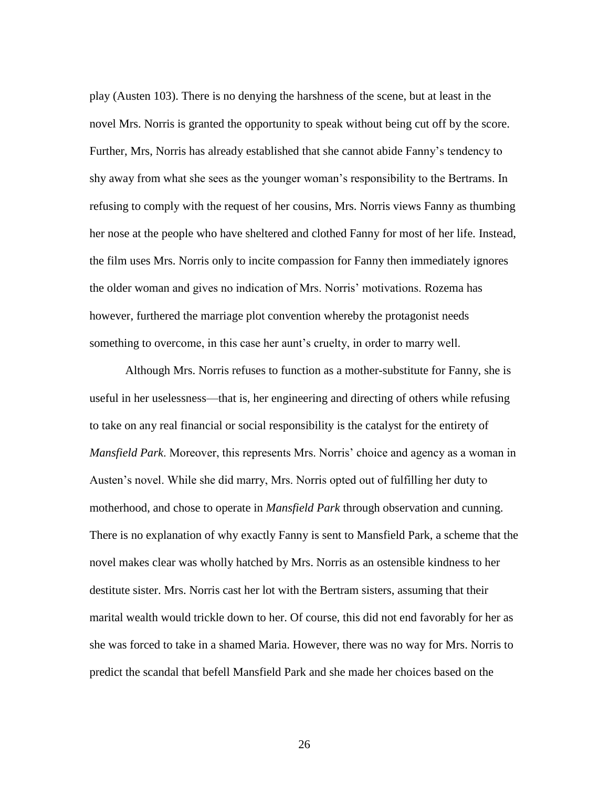play (Austen 103). There is no denying the harshness of the scene, but at least in the novel Mrs. Norris is granted the opportunity to speak without being cut off by the score. Further, Mrs, Norris has already established that she cannot abide Fanny's tendency to shy away from what she sees as the younger woman's responsibility to the Bertrams. In refusing to comply with the request of her cousins, Mrs. Norris views Fanny as thumbing her nose at the people who have sheltered and clothed Fanny for most of her life. Instead, the film uses Mrs. Norris only to incite compassion for Fanny then immediately ignores the older woman and gives no indication of Mrs. Norris' motivations. Rozema has however, furthered the marriage plot convention whereby the protagonist needs something to overcome, in this case her aunt's cruelty, in order to marry well.

Although Mrs. Norris refuses to function as a mother-substitute for Fanny, she is useful in her uselessness—that is, her engineering and directing of others while refusing to take on any real financial or social responsibility is the catalyst for the entirety of *Mansfield Park*. Moreover, this represents Mrs. Norris' choice and agency as a woman in Austen's novel. While she did marry, Mrs. Norris opted out of fulfilling her duty to motherhood, and chose to operate in *Mansfield Park* through observation and cunning. There is no explanation of why exactly Fanny is sent to Mansfield Park, a scheme that the novel makes clear was wholly hatched by Mrs. Norris as an ostensible kindness to her destitute sister. Mrs. Norris cast her lot with the Bertram sisters, assuming that their marital wealth would trickle down to her. Of course, this did not end favorably for her as she was forced to take in a shamed Maria. However, there was no way for Mrs. Norris to predict the scandal that befell Mansfield Park and she made her choices based on the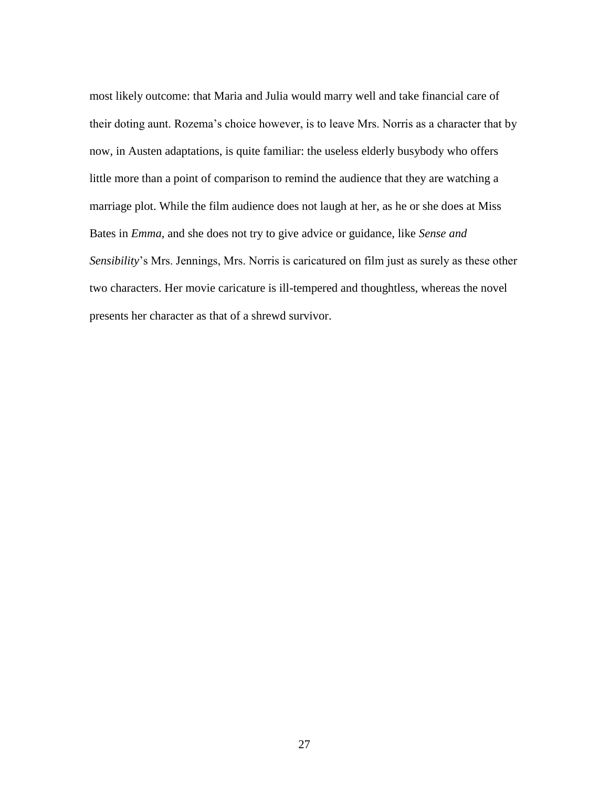most likely outcome: that Maria and Julia would marry well and take financial care of their doting aunt. Rozema's choice however, is to leave Mrs. Norris as a character that by now, in Austen adaptations, is quite familiar: the useless elderly busybody who offers little more than a point of comparison to remind the audience that they are watching a marriage plot. While the film audience does not laugh at her, as he or she does at Miss Bates in *Emma*, and she does not try to give advice or guidance, like *Sense and Sensibility*'s Mrs. Jennings, Mrs. Norris is caricatured on film just as surely as these other two characters. Her movie caricature is ill-tempered and thoughtless, whereas the novel presents her character as that of a shrewd survivor.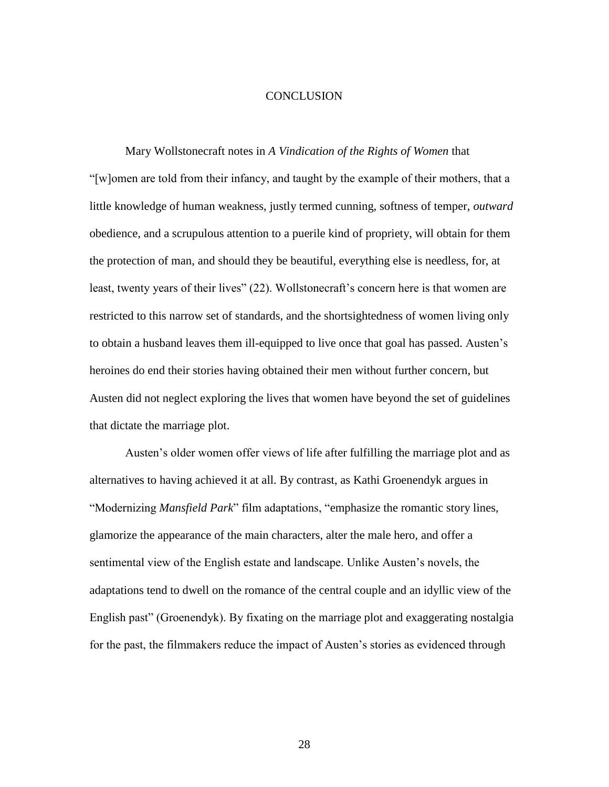## **CONCLUSION**

Mary Wollstonecraft notes in *A Vindication of the Rights of Women* that "[w]omen are told from their infancy, and taught by the example of their mothers, that a little knowledge of human weakness, justly termed cunning, softness of temper, *outward* obedience, and a scrupulous attention to a puerile kind of propriety, will obtain for them the protection of man, and should they be beautiful, everything else is needless, for, at least, twenty years of their lives" (22). Wollstonecraft's concern here is that women are restricted to this narrow set of standards, and the shortsightedness of women living only to obtain a husband leaves them ill-equipped to live once that goal has passed. Austen's heroines do end their stories having obtained their men without further concern, but Austen did not neglect exploring the lives that women have beyond the set of guidelines that dictate the marriage plot.

Austen's older women offer views of life after fulfilling the marriage plot and as alternatives to having achieved it at all. By contrast, as Kathi Groenendyk argues in "Modernizing *Mansfield Park*" film adaptations, "emphasize the romantic story lines, glamorize the appearance of the main characters, alter the male hero, and offer a sentimental view of the English estate and landscape. Unlike Austen's novels, the adaptations tend to dwell on the romance of the central couple and an idyllic view of the English past" (Groenendyk). By fixating on the marriage plot and exaggerating nostalgia for the past, the filmmakers reduce the impact of Austen's stories as evidenced through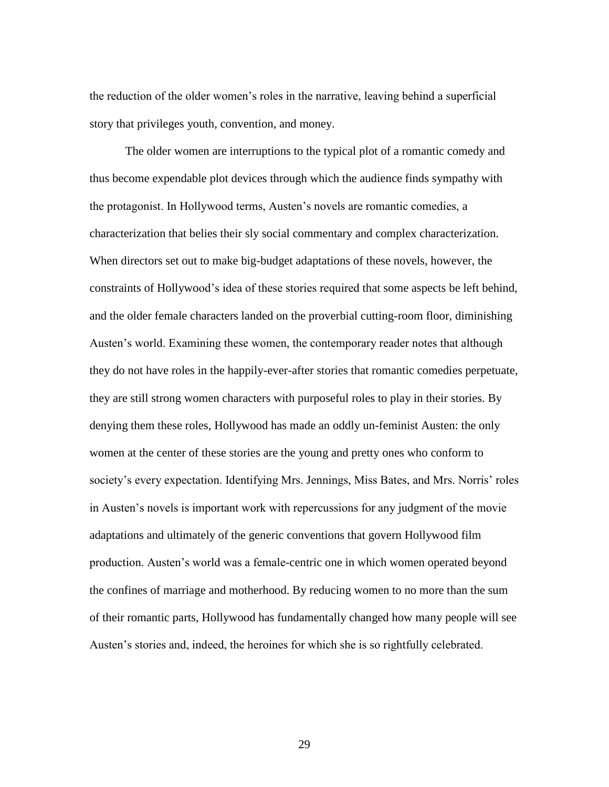the reduction of the older women's roles in the narrative, leaving behind a superficial story that privileges youth, convention, and money.

The older women are interruptions to the typical plot of a romantic comedy and thus become expendable plot devices through which the audience finds sympathy with the protagonist. In Hollywood terms, Austen's novels are romantic comedies, a characterization that belies their sly social commentary and complex characterization. When directors set out to make big-budget adaptations of these novels, however, the constraints of Hollywood's idea of these stories required that some aspects be left behind, and the older female characters landed on the proverbial cutting-room floor, diminishing Austen's world. Examining these women, the contemporary reader notes that although they do not have roles in the happily-ever-after stories that romantic comedies perpetuate, they are still strong women characters with purposeful roles to play in their stories. By denying them these roles, Hollywood has made an oddly un-feminist Austen: the only women at the center of these stories are the young and pretty ones who conform to society's every expectation. Identifying Mrs. Jennings, Miss Bates, and Mrs. Norris' roles in Austen's novels is important work with repercussions for any judgment of the movie adaptations and ultimately of the generic conventions that govern Hollywood film production. Austen's world was a female-centric one in which women operated beyond the confines of marriage and motherhood. By reducing women to no more than the sum of their romantic parts, Hollywood has fundamentally changed how many people will see Austen's stories and, indeed, the heroines for which she is so rightfully celebrated.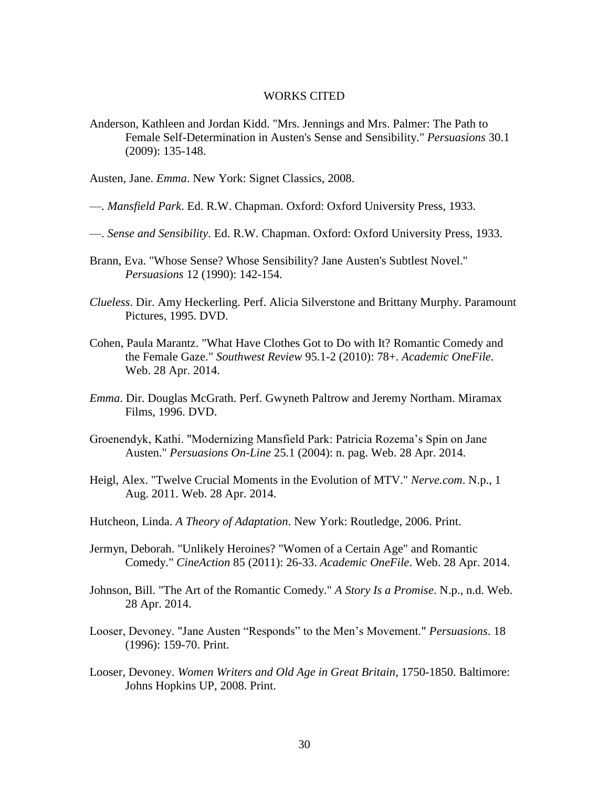#### WORKS CITED

Anderson, Kathleen and Jordan Kidd. "Mrs. Jennings and Mrs. Palmer: The Path to Female Self-Determination in Austen's Sense and Sensibility." *Persuasions* 30.1 (2009): 135-148.

Austen, Jane. *Emma*. New York: Signet Classics, 2008.

- —. *Mansfield Park*. Ed. R.W. Chapman. Oxford: Oxford University Press, 1933.
- —. *Sense and Sensibility*. Ed. R.W. Chapman. Oxford: Oxford University Press, 1933.
- Brann, Eva. "Whose Sense? Whose Sensibility? Jane Austen's Subtlest Novel." *Persuasions* 12 (1990): 142-154.
- *Clueless*. Dir. Amy Heckerling. Perf. Alicia Silverstone and Brittany Murphy. Paramount Pictures, 1995. DVD.
- Cohen, Paula Marantz. "What Have Clothes Got to Do with It? Romantic Comedy and the Female Gaze." *Southwest Review* 95.1-2 (2010): 78+. *Academic OneFile*. Web. 28 Apr. 2014.
- *Emma*. Dir. Douglas McGrath. Perf. Gwyneth Paltrow and Jeremy Northam. Miramax Films, 1996. DVD.
- Groenendyk, Kathi. "Modernizing Mansfield Park: Patricia Rozema's Spin on Jane Austen." *Persuasions On-Line* 25.1 (2004): n. pag. Web. 28 Apr. 2014.
- Heigl, Alex. "Twelve Crucial Moments in the Evolution of MTV." *Nerve.com*. N.p., 1 Aug. 2011. Web. 28 Apr. 2014.
- Hutcheon, Linda. *A Theory of Adaptation*. New York: Routledge, 2006. Print.
- Jermyn, Deborah. "Unlikely Heroines? "Women of a Certain Age" and Romantic Comedy." *CineAction* 85 (2011): 26-33. *Academic OneFile*. Web. 28 Apr. 2014.
- Johnson, Bill. "The Art of the Romantic Comedy." *A Story Is a Promise*. N.p., n.d. Web. 28 Apr. 2014.
- Looser, Devoney. "Jane Austen "Responds" to the Men's Movement." *Persuasions*. 18 (1996): 159-70. Print.
- Looser, Devoney. *Women Writers and Old Age in Great Britain*, 1750-1850. Baltimore: Johns Hopkins UP, 2008. Print.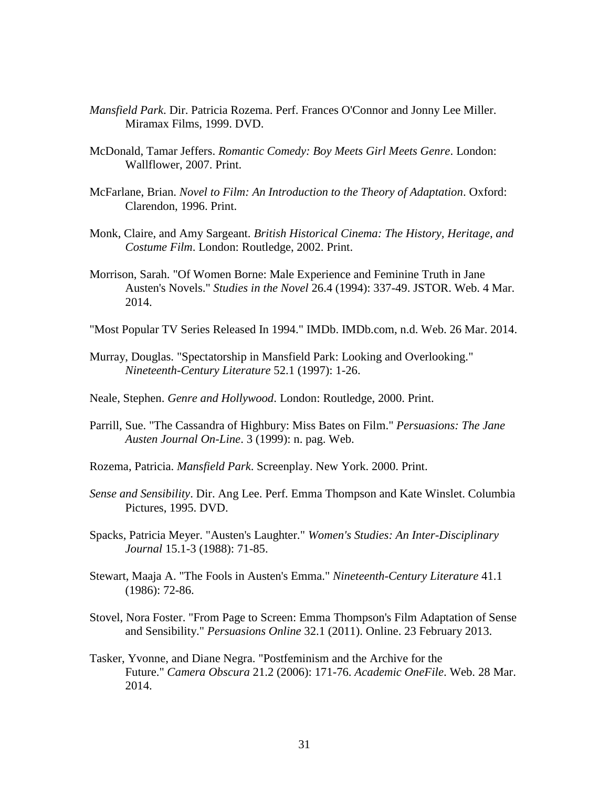- *Mansfield Park*. Dir. Patricia Rozema. Perf. Frances O'Connor and Jonny Lee Miller. Miramax Films, 1999. DVD.
- McDonald, Tamar Jeffers. *Romantic Comedy: Boy Meets Girl Meets Genre*. London: Wallflower, 2007. Print.
- McFarlane, Brian. *Novel to Film: An Introduction to the Theory of Adaptation*. Oxford: Clarendon, 1996. Print.
- Monk, Claire, and Amy Sargeant. *British Historical Cinema: The History, Heritage, and Costume Film*. London: Routledge, 2002. Print.
- Morrison, Sarah. "Of Women Borne: Male Experience and Feminine Truth in Jane Austen's Novels." *Studies in the Novel* 26.4 (1994): 337-49. JSTOR. Web. 4 Mar. 2014.
- "Most Popular TV Series Released In 1994." IMDb. IMDb.com, n.d. Web. 26 Mar. 2014.
- Murray, Douglas. "Spectatorship in Mansfield Park: Looking and Overlooking." *Nineteenth-Century Literature* 52.1 (1997): 1-26.
- Neale, Stephen. *Genre and Hollywood*. London: Routledge, 2000. Print.
- Parrill, Sue. "The Cassandra of Highbury: Miss Bates on Film." *Persuasions: The Jane Austen Journal On-Line*. 3 (1999): n. pag. Web.
- Rozema, Patricia. *Mansfield Park*. Screenplay. New York. 2000. Print.
- *Sense and Sensibility*. Dir. Ang Lee. Perf. Emma Thompson and Kate Winslet. Columbia Pictures, 1995. DVD.
- Spacks, Patricia Meyer. "Austen's Laughter." *Women's Studies: An Inter-Disciplinary Journal* 15.1-3 (1988): 71-85.
- Stewart, Maaja A. "The Fools in Austen's Emma." *Nineteenth-Century Literature* 41.1 (1986): 72-86.
- Stovel, Nora Foster. "From Page to Screen: Emma Thompson's Film Adaptation of Sense and Sensibility." *Persuasions Online* 32.1 (2011). Online. 23 February 2013.
- Tasker, Yvonne, and Diane Negra. "Postfeminism and the Archive for the Future." *Camera Obscura* 21.2 (2006): 171-76. *Academic OneFile*. Web. 28 Mar. 2014.